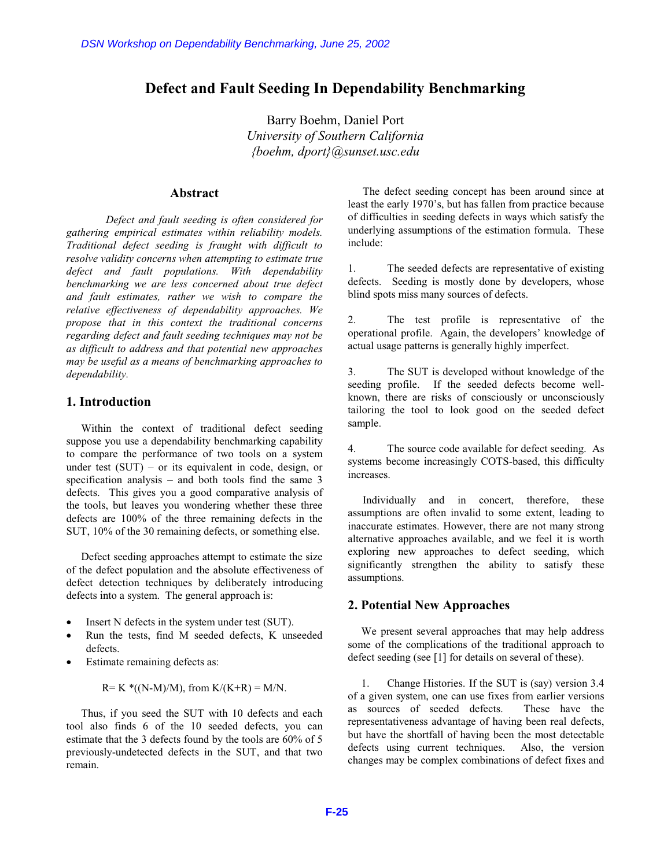## **Defect and Fault Seeding In Dependability Benchmarking**

Barry Boehm, Daniel Port *University of Southern California {boehm, dport}@sunset.usc.edu*

### **Abstract**

*Defect and fault seeding is often considered for gathering empirical estimates within reliability models. Traditional defect seeding is fraught with difficult to resolve validity concerns when attempting to estimate true defect and fault populations. With dependability benchmarking we are less concerned about true defect and fault estimates, rather we wish to compare the relative effectiveness of dependability approaches. We propose that in this context the traditional concerns regarding defect and fault seeding techniques may not be as difficult to address and that potential new approaches may be useful as a means of benchmarking approaches to dependability.*  DSN Workshop on Dependability Benchmarking, June 25, 2002<br> **Defect and Fault Seeding In Dependa<br>
For the 25 Dependa<br>
Barry Boehm, aport) and Barry Boehm, Daniel P<br>
University of Southern Cal.<br>
(boehm, dport) assumed that** 

#### **1. Introduction**

Within the context of traditional defect seeding suppose you use a dependability benchmarking capability to compare the performance of two tools on a system under test  $(SUT)$  – or its equivalent in code, design, or specification analysis – and both tools find the same 3 defects. This gives you a good comparative analysis of the tools, but leaves you wondering whether these three defects are 100% of the three remaining defects in the SUT, 10% of the 30 remaining defects, or something else.

Defect seeding approaches attempt to estimate the size of the defect population and the absolute effectiveness of defect detection techniques by deliberately introducing defects into a system. The general approach is:

- $\bullet$  Insert N defects in the system under test (SUT).
- x Run the tests, find M seeded defects, K unseeded defects.
- Estimate remaining defects as:

 $R= K^*((N-M)/M)$ , from  $K/(K+R) = M/N$ .

Thus, if you seed the SUT with 10 defects and each tool also finds 6 of the 10 seeded defects, you can estimate that the 3 defects found by the tools are 60% of 5 previously-undetected defects in the SUT, and that two remain.

The defect seeding concept has been around since at least the early 1970's, but has fallen from practice because of difficulties in seeding defects in ways which satisfy the underlying assumptions of the estimation formula. These include:

1. The seeded defects are representative of existing defects. Seeding is mostly done by developers, whose blind spots miss many sources of defects.

2. The test profile is representative of the operational profile. Again, the developers' knowledge of actual usage patterns is generally highly imperfect.

3. The SUT is developed without knowledge of the seeding profile. If the seeded defects become wellknown, there are risks of consciously or unconsciously tailoring the tool to look good on the seeded defect sample.

4. The source code available for defect seeding. As systems become increasingly COTS-based, this difficulty increases.

Individually and in concert, therefore, these assumptions are often invalid to some extent, leading to inaccurate estimates. However, there are not many strong alternative approaches available, and we feel it is worth exploring new approaches to defect seeding, which significantly strengthen the ability to satisfy these assumptions.

#### **2. Potential New Approaches**

We present several approaches that may help address some of the complications of the traditional approach to defect seeding (see [1] for details on several of these).

1. Change Histories. If the SUT is (say) version 3.4 of a given system, one can use fixes from earlier versions as sources of seeded defects. These have the representativeness advantage of having been real defects, but have the shortfall of having been the most detectable defects using current techniques. Also, the version changes may be complex combinations of defect fixes and